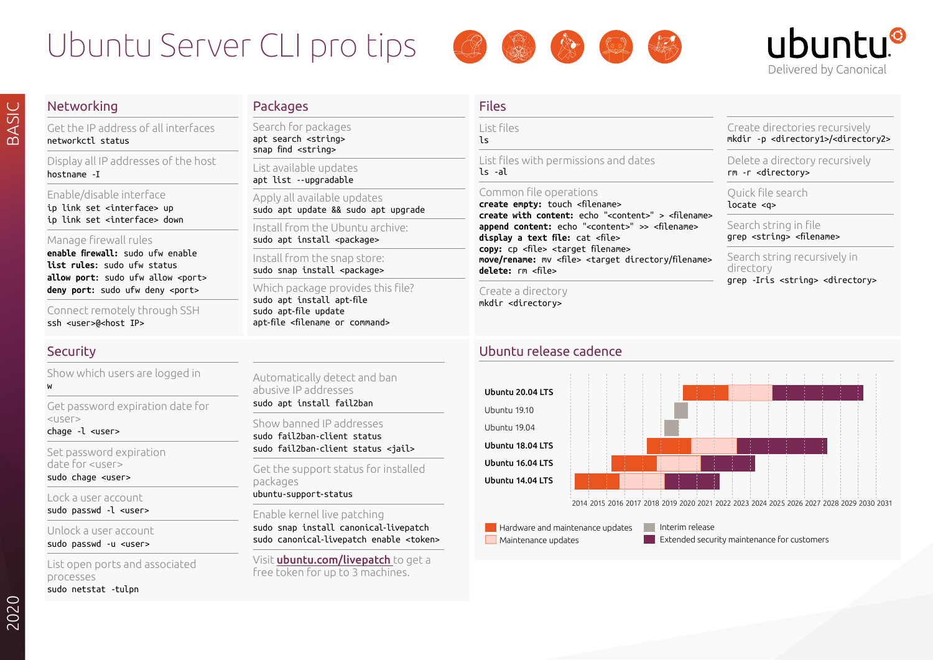# Ubuntu Server CLI pro tips





Create directories recursively mkdir -p <directory1>/<directory2>

Delete a directory recursively

rm -r <directory> Quick file search locate <q>

Search string in file grep <string> <filename>

directory

Search string recursively in

grep -Iris <string> <directory>

# Networking

BASIC

Get the IP address of all interfaces networkctl status

Display all IP addresses of the host hostname -I

Enable/disable interface

ip link set <interface> up ip link set <interface> down

#### Manage firewall rules

**enable firewall:** sudo ufw enable **list rules**: sudo ufw status **allow port:** sudo ufw allow <port> deny port: sudo ufw deny <port>

Connect remotely through SSH ssh <user>@<host IP>

## Security

w

Show which users are logged in

Get password expiration date for  $<sub>l</sub>$ </sub>

chage -l <user>

Set password expiration date for <user>

sudo chage <user>

Lock a user account sudo passwd -l <user>

Unlock a user account sudo passwd -u <user>

List open ports and associated processes sudo netstat -tulpn

## **Packages**

Search for packages apt search <string> snap find <string>

List available updates apt list --upgradable

Apply all available updates sudo apt update && sudo apt upgrade

Install from the Ubuntu archive: sudo apt install <package>

Install from the snap store: sudo snap install <package>

Automatically detect and ban

abusive IP addresses sudo apt install fail2ban Show banned IP addresses sudo fail2ban-client status sudo fail2ban-client status <jail> Get the support status for installed

ubuntu-support-status

Enable kernel live patching

sudo snap install canonical-livepatch sudo canonical-livepatch enable <token> Visit **ubuntu.com/livepatch** to get a free token for up to 3 machines.

packages

Which package provides this file? sudo apt install apt-file sudo apt-file update apt-file <filename or command>

# Files

List files  $l<sub>s</sub>$ 

List files with permissions and dates ls -al

### Common file operations

**create empty:** touch <filename> **create with content:** echo "<content>" > <filename> **append content:** echo "<content>" >> <filename> **display a text file:** cat <file> **copy:** cp <file> <target filename> **move/rename:** mv <file> <target directory/filename> **delete:** rm <file>

Create a directory mkdir <directory>

## Ubuntu release cadence



**Hardware and maintenance updates Maintenance updates** 

Interim release **Extended security maintenance for customers**